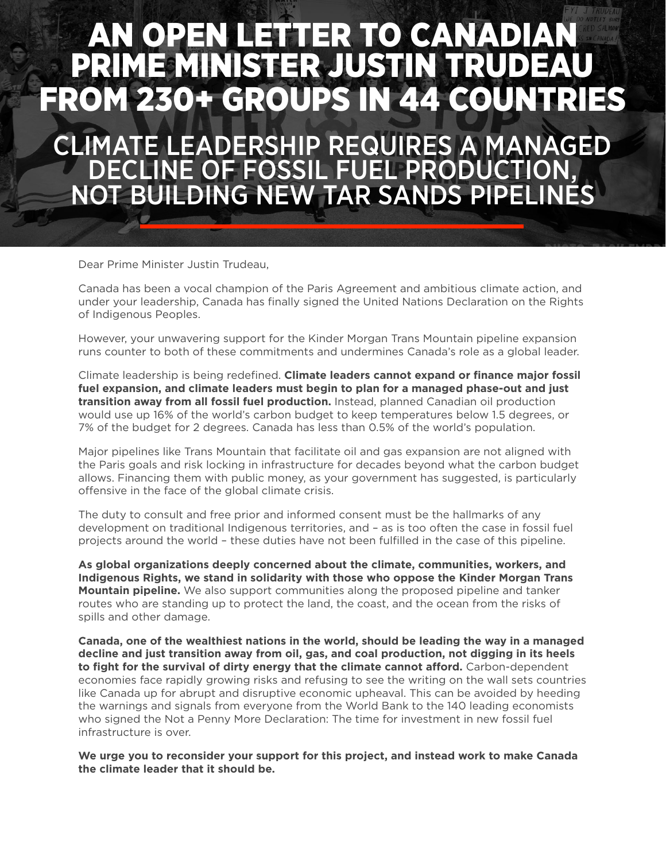## AN OPEN LETTER TO CANADIAN PRIME MINISTER JUSTIN TRUDEA OM 230+ GROUPS IN 44 COUN

CLIMATE LEADERSHIP REQUIRES A MANAGED DECLINE OF FOSSIL FUEL PRODUCTION, NOT BUILDING NEW TAR SANDS PIPELINES

Dear Prime Minister Justin Trudeau,

Canada has been a vocal champion of the Paris Agreement and ambitious climate action, and under your leadership, Canada has finally signed the United Nations Declaration on the Rights of Indigenous Peoples.

However, your unwavering support for the Kinder Morgan Trans Mountain pipeline expansion runs counter to both of these commitments and undermines Canada's role as a global leader.

Climate leadership is being redefined. **Climate leaders cannot expand or finance major fossil fuel expansion, and climate leaders must begin to plan for a managed phase-out and just transition away from all fossil fuel production.** Instead, planned Canadian oil production would use up 16% of the world's carbon budget to keep temperatures below 1.5 degrees, or 7% of the budget for 2 degrees. Canada has less than 0.5% of the world's population.

Major pipelines like Trans Mountain that facilitate oil and gas expansion are not aligned with the Paris goals and risk locking in infrastructure for decades beyond what the carbon budget allows. Financing them with public money, as your government has suggested, is particularly offensive in the face of the global climate crisis.

The duty to consult and free prior and informed consent must be the hallmarks of any development on traditional Indigenous territories, and – as is too often the case in fossil fuel projects around the world – these duties have not been fulfilled in the case of this pipeline.

**As global organizations deeply concerned about the climate, communities, workers, and Indigenous Rights, we stand in solidarity with those who oppose the Kinder Morgan Trans Mountain pipeline.** We also support communities along the proposed pipeline and tanker routes who are standing up to protect the land, the coast, and the ocean from the risks of spills and other damage.

**Canada, one of the wealthiest nations in the world, should be leading the way in a managed decline and just transition away from oil, gas, and coal production, not digging in its heels to fight for the survival of dirty energy that the climate cannot afford.** Carbon-dependent economies face rapidly growing risks and refusing to see the writing on the wall sets countries like Canada up for abrupt and disruptive economic upheaval. This can be avoided by heeding the warnings and signals from everyone from the World Bank to the 140 leading economists who signed the Not a Penny More Declaration: The time for investment in new fossil fuel infrastructure is over.

**We urge you to reconsider your support for this project, and instead work to make Canada the climate leader that it should be.**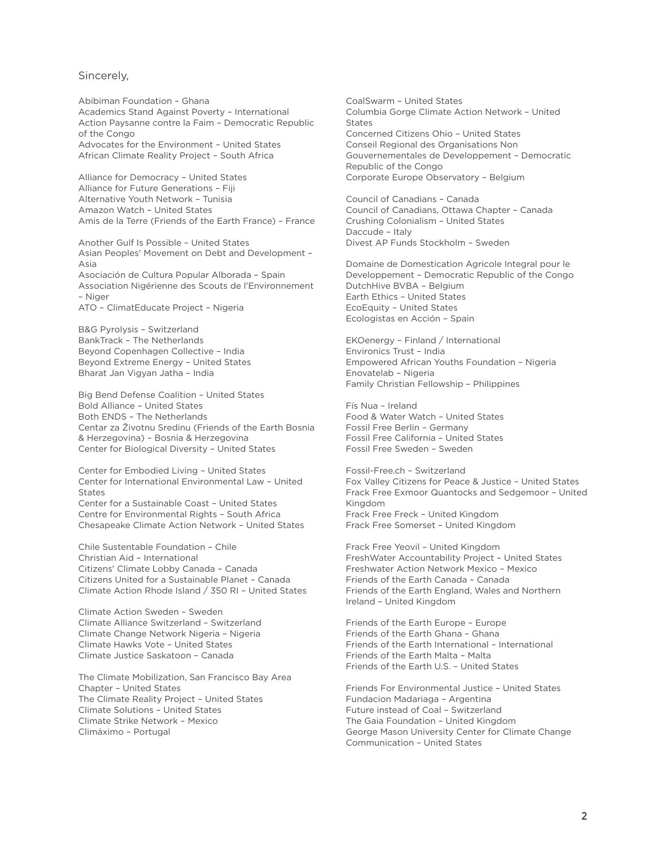## Sincerely,

Abibiman Foundation – Ghana Academics Stand Against Poverty – International Action Paysanne contre la Faim – Democratic Republic of the Congo Advocates for the Environment – United States African Climate Reality Project – South Africa

Alliance for Democracy – United States Alliance for Future Generations – Fiji Alternative Youth Network – Tunisia Amazon Watch – United States Amis de la Terre (Friends of the Earth France) – France

Another Gulf Is Possible – United States Asian Peoples' Movement on Debt and Development – Asia Asociación de Cultura Popular Alborada – Spain Association Nigérienne des Scouts de l'Environnement – Niger ATO – ClimatEducate Project – Nigeria

B&G Pyrolysis – Switzerland BankTrack – The Netherlands Beyond Copenhagen Collective – India Beyond Extreme Energy – United States Bharat Jan Vigyan Jatha – India

Big Bend Defense Coalition – United States Bold Alliance – United States Both ENDS – The Netherlands Centar za Životnu Sredinu (Friends of the Earth Bosnia & Herzegovina) – Bosnia & Herzegovina Center for Biological Diversity – United States

Center for Embodied Living – United States Center for International Environmental Law – United **States** Center for a Sustainable Coast – United States Centre for Environmental Rights – South Africa Chesapeake Climate Action Network – United States

Chile Sustentable Foundation – Chile Christian Aid – International Citizens' Climate Lobby Canada – Canada Citizens United for a Sustainable Planet – Canada Climate Action Rhode Island / 350 RI – United States

Climate Action Sweden – Sweden Climate Alliance Switzerland – Switzerland Climate Change Network Nigeria – Nigeria Climate Hawks Vote – United States Climate Justice Saskatoon – Canada

The Climate Mobilization, San Francisco Bay Area Chapter – United States The Climate Reality Project – United States Climate Solutions – United States Climate Strike Network – Mexico Climáximo – Portugal

CoalSwarm – United States Columbia Gorge Climate Action Network – United States Concerned Citizens Ohio – United States Conseil Regional des Organisations Non Gouvernementales de Developpement – Democratic Republic of the Congo Corporate Europe Observatory – Belgium

Council of Canadians – Canada Council of Canadians, Ottawa Chapter – Canada Crushing Colonialism – United States Daccude – Italy Divest AP Funds Stockholm – Sweden

Domaine de Domestication Agricole Integral pour le Developpement – Democratic Republic of the Congo DutchHive BVBA – Belgium Earth Ethics – United States EcoEquity – United States Ecologistas en Acción – Spain

EKOenergy – Finland / International Environics Trust – India Empowered African Youths Foundation – Nigeria Enovatelab – Nigeria Family Christian Fellowship – Philippines

Fís Nua – Ireland Food & Water Watch – United States Fossil Free Berlin – Germany Fossil Free California – United States Fossil Free Sweden – Sweden

Fossil-Free.ch – Switzerland Fox Valley Citizens for Peace & Justice – United States Frack Free Exmoor Quantocks and Sedgemoor – United Kingdom Frack Free Freck – United Kingdom Frack Free Somerset – United Kingdom

Frack Free Yeovil – United Kingdom FreshWater Accountability Project – United States Freshwater Action Network Mexico – Mexico Friends of the Earth Canada – Canada Friends of the Earth England, Wales and Northern Ireland – United Kingdom

Friends of the Earth Europe – Europe Friends of the Earth Ghana – Ghana Friends of the Earth International – International Friends of the Earth Malta – Malta Friends of the Earth U.S. – United States

Friends For Environmental Justice – United States Fundacion Madariaga – Argentina Future instead of Coal – Switzerland The Gaia Foundation – United Kingdom George Mason University Center for Climate Change Communication – United States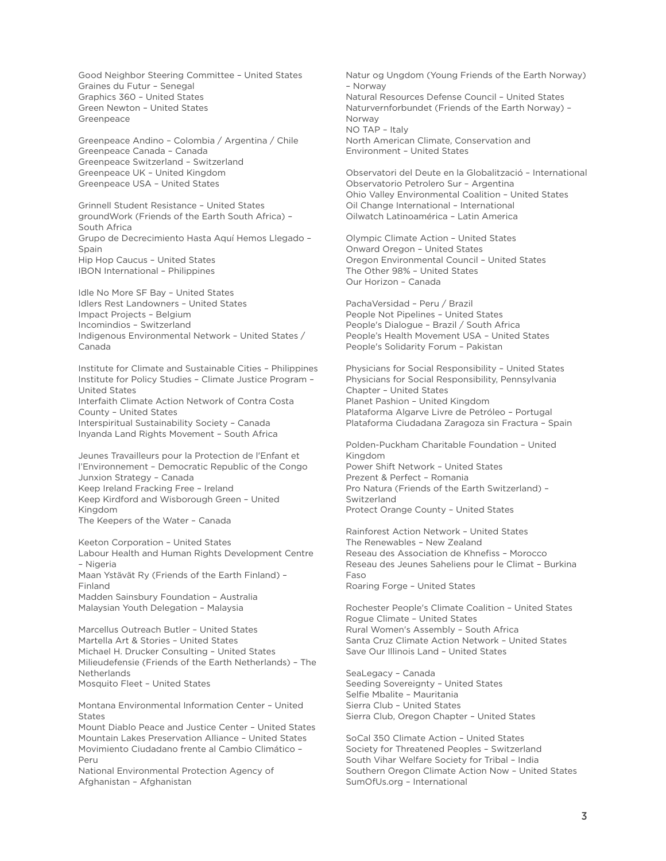Good Neighbor Steering Committee – United States Graines du Futur – Senegal Graphics 360 – United States Green Newton – United States Greenpeace

Greenpeace Andino – Colombia / Argentina / Chile Greenpeace Canada – Canada Greenpeace Switzerland – Switzerland Greenpeace UK – United Kingdom Greenpeace USA – United States

Grinnell Student Resistance – United States groundWork (Friends of the Earth South Africa) – South Africa Grupo de Decrecimiento Hasta Aquí Hemos Llegado – Spain Hip Hop Caucus – United States IBON International – Philippines

Idle No More SF Bay – United States Idlers Rest Landowners – United States Impact Projects – Belgium Incomindios – Switzerland Indigenous Environmental Network – United States / Canada

Institute for Climate and Sustainable Cities – Philippines Institute for Policy Studies – Climate Justice Program – United States Interfaith Climate Action Network of Contra Costa County – United States Interspiritual Sustainability Society – Canada Inyanda Land Rights Movement – South Africa

Jeunes Travailleurs pour la Protection de l'Enfant et l'Environnement – Democratic Republic of the Congo Junxion Strategy – Canada Keep Ireland Fracking Free – Ireland Keep Kirdford and Wisborough Green – United Kingdom The Keepers of the Water – Canada

Keeton Corporation – United States Labour Health and Human Rights Development Centre – Nigeria Maan Ystävät Ry (Friends of the Earth Finland) – Finland Madden Sainsbury Foundation – Australia Malaysian Youth Delegation – Malaysia

Marcellus Outreach Butler – United States Martella Art & Stories – United States Michael H. Drucker Consulting – United States Milieudefensie (Friends of the Earth Netherlands) – The Netherlands Mosquito Fleet – United States

Montana Environmental Information Center – United **States** 

Mount Diablo Peace and Justice Center – United States Mountain Lakes Preservation Alliance – United States Movimiento Ciudadano frente al Cambio Climático – Peru

National Environmental Protection Agency of Afghanistan – Afghanistan

Natur og Ungdom (Young Friends of the Earth Norway) – Norway Natural Resources Defense Council – United States Naturvernforbundet (Friends of the Earth Norway) – Norway NO TAP – Italy North American Climate, Conservation and Environment – United States

Observatori del Deute en la Globalització – International Observatorio Petrolero Sur – Argentina Ohio Valley Environmental Coalition – United States Oil Change International – International Oilwatch Latinoamérica – Latin America

Olympic Climate Action – United States Onward Oregon – United States Oregon Environmental Council – United States The Other 98% – United States Our Horizon – Canada

PachaVersidad – Peru / Brazil People Not Pipelines – United States People's Dialogue – Brazil / South Africa People's Health Movement USA – United States People's Solidarity Forum – Pakistan

Physicians for Social Responsibility – United States Physicians for Social Responsibility, Pennsylvania Chapter – United States Planet Pashion – United Kingdom Plataforma Algarve Livre de Petróleo – Portugal Plataforma Ciudadana Zaragoza sin Fractura – Spain

Polden-Puckham Charitable Foundation – United Kingdom Power Shift Network – United States Prezent & Perfect – Romania Pro Natura (Friends of the Earth Switzerland) – Switzerland Protect Orange County – United States

Rainforest Action Network – United States The Renewables – New Zealand Reseau des Association de Khnefiss – Morocco Reseau des Jeunes Saheliens pour le Climat – Burkina Faso Roaring Forge – United States

Rochester People's Climate Coalition – United States Rogue Climate – United States Rural Women's Assembly – South Africa Santa Cruz Climate Action Network – United States Save Our Illinois Land – United States

SeaLegacy – Canada Seeding Sovereignty – United States Selfie Mbalite – Mauritania Sierra Club – United States Sierra Club, Oregon Chapter – United States

SoCal 350 Climate Action – United States Society for Threatened Peoples – Switzerland South Vihar Welfare Society for Tribal – India Southern Oregon Climate Action Now – United States SumOfUs.org – International